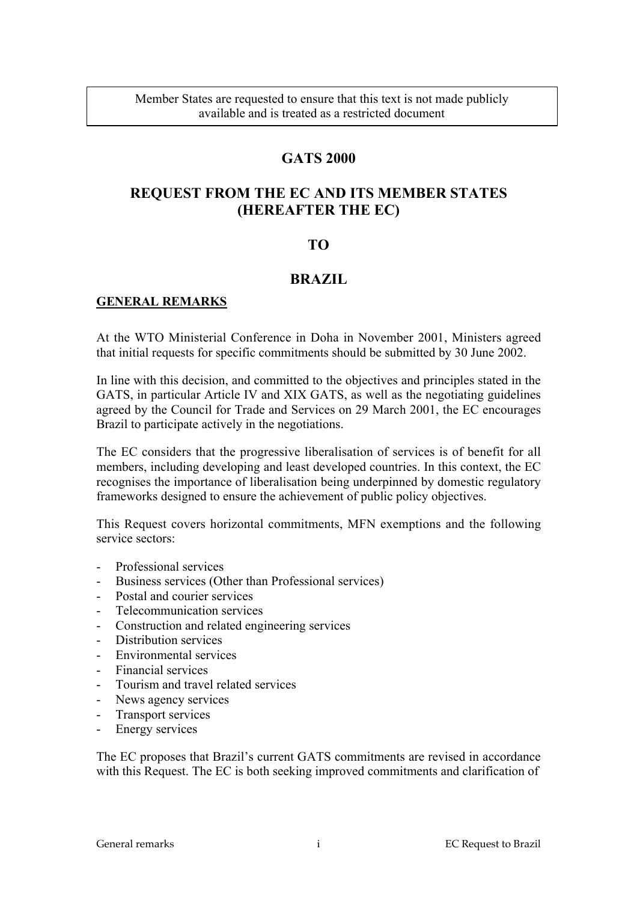## **GATS 2000**

# **REQUEST FROM THE EC AND ITS MEMBER STATES (HEREAFTER THE EC)**

## **TO**

## **BRAZIL**

## **GENERAL REMARKS**

At the WTO Ministerial Conference in Doha in November 2001, Ministers agreed that initial requests for specific commitments should be submitted by 30 June 2002.

In line with this decision, and committed to the objectives and principles stated in the GATS, in particular Article IV and XIX GATS, as well as the negotiating guidelines agreed by the Council for Trade and Services on 29 March 2001, the EC encourages Brazil to participate actively in the negotiations.

The EC considers that the progressive liberalisation of services is of benefit for all members, including developing and least developed countries. In this context, the EC recognises the importance of liberalisation being underpinned by domestic regulatory frameworks designed to ensure the achievement of public policy objectives.

This Request covers horizontal commitments, MFN exemptions and the following service sectors:

- Professional services
- Business services (Other than Professional services)
- Postal and courier services
- Telecommunication services
- Construction and related engineering services
- Distribution services
- Environmental services
- Financial services
- Tourism and travel related services
- News agency services
- Transport services
- Energy services

The EC proposes that Brazil's current GATS commitments are revised in accordance with this Request. The EC is both seeking improved commitments and clarification of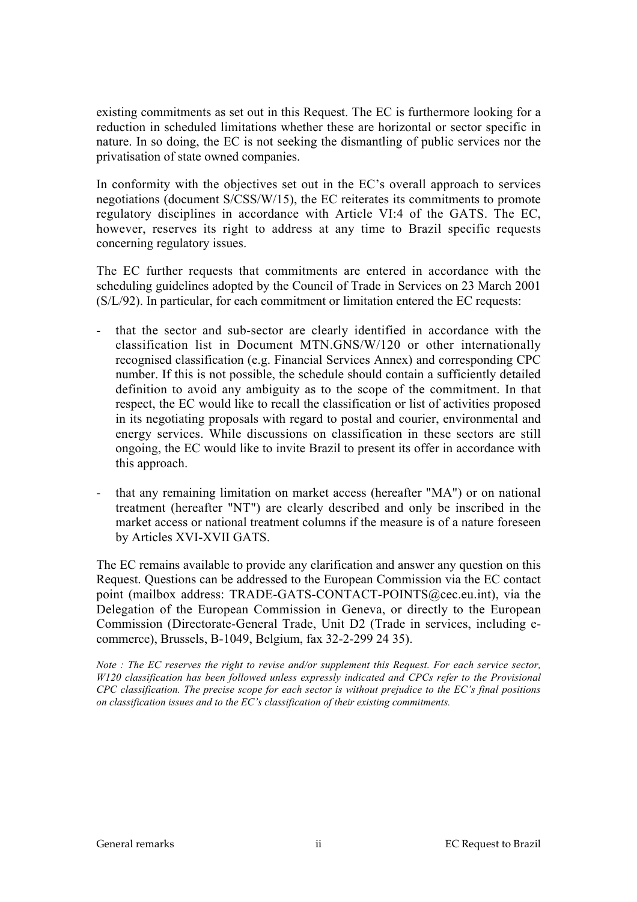existing commitments as set out in this Request. The EC is furthermore looking for a reduction in scheduled limitations whether these are horizontal or sector specific in nature. In so doing, the EC is not seeking the dismantling of public services nor the privatisation of state owned companies.

In conformity with the objectives set out in the EC's overall approach to services negotiations (document S/CSS/W/15), the EC reiterates its commitments to promote regulatory disciplines in accordance with Article VI:4 of the GATS. The EC, however, reserves its right to address at any time to Brazil specific requests concerning regulatory issues.

The EC further requests that commitments are entered in accordance with the scheduling guidelines adopted by the Council of Trade in Services on 23 March 2001 (S/L/92). In particular, for each commitment or limitation entered the EC requests:

- that the sector and sub-sector are clearly identified in accordance with the classification list in Document MTN.GNS/W/120 or other internationally recognised classification (e.g. Financial Services Annex) and corresponding CPC number. If this is not possible, the schedule should contain a sufficiently detailed definition to avoid any ambiguity as to the scope of the commitment. In that respect, the EC would like to recall the classification or list of activities proposed in its negotiating proposals with regard to postal and courier, environmental and energy services. While discussions on classification in these sectors are still ongoing, the EC would like to invite Brazil to present its offer in accordance with this approach.
- that any remaining limitation on market access (hereafter "MA") or on national treatment (hereafter "NT") are clearly described and only be inscribed in the market access or national treatment columns if the measure is of a nature foreseen by Articles XVI-XVII GATS.

The EC remains available to provide any clarification and answer any question on this Request. Questions can be addressed to the European Commission via the EC contact point (mailbox address: TRADE-GATS-CONTACT-POINTS@cec.eu.int), via the Delegation of the European Commission in Geneva, or directly to the European Commission (Directorate-General Trade, Unit D2 (Trade in services, including ecommerce), Brussels, B-1049, Belgium, fax 32-2-299 24 35).

*Note : The EC reserves the right to revise and/or supplement this Request. For each service sector, W120 classification has been followed unless expressly indicated and CPCs refer to the Provisional CPC classification. The precise scope for each sector is without prejudice to the EC's final positions on classification issues and to the EC's classification of their existing commitments.*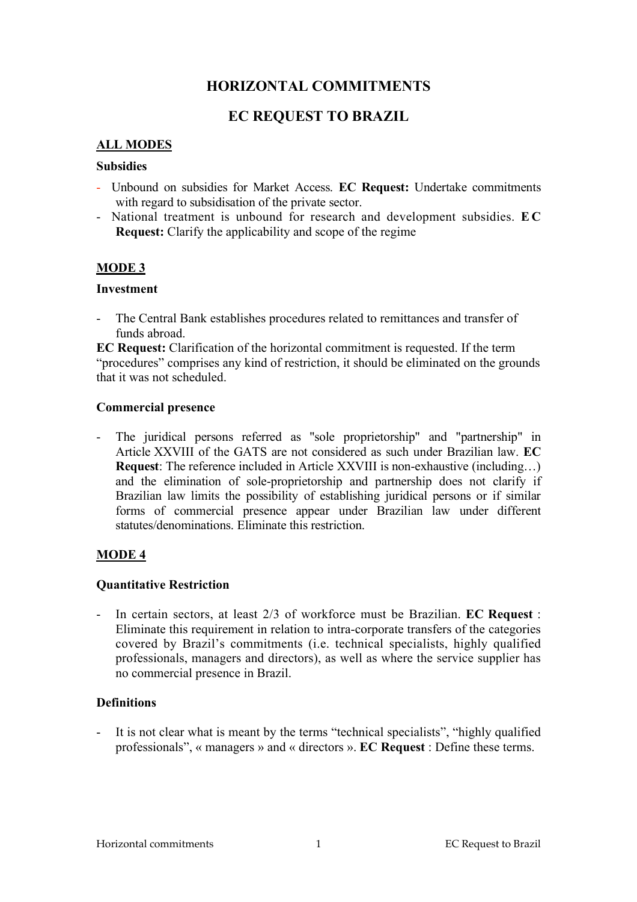## **HORIZONTAL COMMITMENTS**

## **EC REQUEST TO BRAZIL**

#### **ALL MODES**

#### **Subsidies**

- Unbound on subsidies for Market Access. **EC Request:** Undertake commitments with regard to subsidisation of the private sector.
- National treatment is unbound for research and development subsidies. **E C Request:** Clarify the applicability and scope of the regime

#### **MODE 3**

#### **Investment**

- The Central Bank establishes procedures related to remittances and transfer of funds abroad.

**EC Request:** Clarification of the horizontal commitment is requested. If the term "procedures" comprises any kind of restriction, it should be eliminated on the grounds that it was not scheduled.

#### **Commercial presence**

- The juridical persons referred as "sole proprietorship" and "partnership" in Article XXVIII of the GATS are not considered as such under Brazilian law. **EC Request:** The reference included in Article XXVIII is non-exhaustive (including...) and the elimination of sole-proprietorship and partnership does not clarify if Brazilian law limits the possibility of establishing juridical persons or if similar forms of commercial presence appear under Brazilian law under different statutes/denominations. Eliminate this restriction.

#### **MODE 4**

#### **Quantitative Restriction**

- In certain sectors, at least 2/3 of workforce must be Brazilian. **EC Request** : Eliminate this requirement in relation to intra-corporate transfers of the categories covered by Brazil's commitments (i.e. technical specialists, highly qualified professionals, managers and directors), as well as where the service supplier has no commercial presence in Brazil.

#### **Definitions**

It is not clear what is meant by the terms "technical specialists", "highly qualified professionals", « managers » and « directors ». **EC Request** : Define these terms.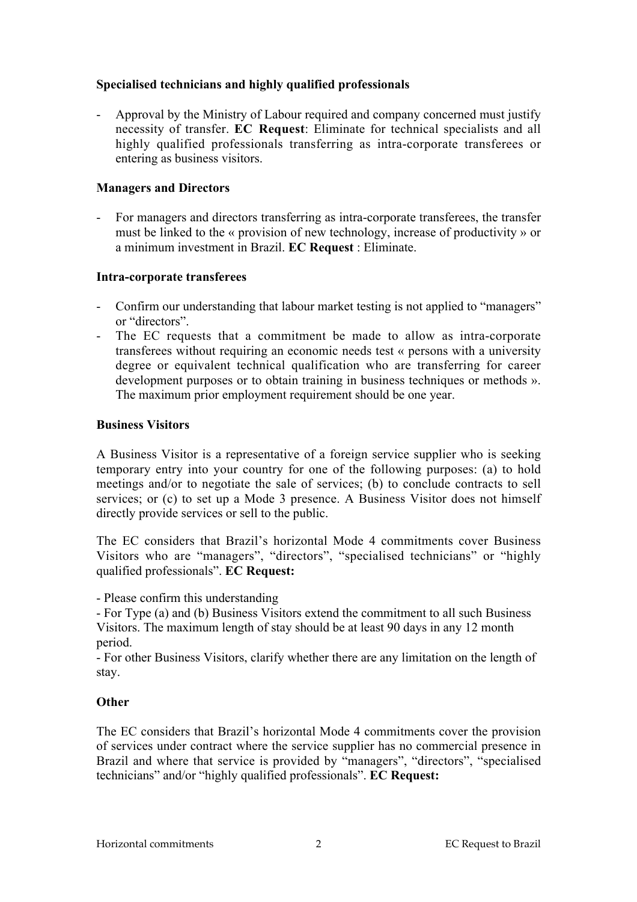### **Specialised technicians and highly qualified professionals**

- Approval by the Ministry of Labour required and company concerned must justify necessity of transfer. **EC Request**: Eliminate for technical specialists and all highly qualified professionals transferring as intra-corporate transferees or entering as business visitors.

#### **Managers and Directors**

- For managers and directors transferring as intra-corporate transferees, the transfer must be linked to the « provision of new technology, increase of productivity » or a minimum investment in Brazil. **EC Request** : Eliminate.

#### **Intra-corporate transferees**

- Confirm our understanding that labour market testing is not applied to "managers" or "directors".
- The EC requests that a commitment be made to allow as intra-corporate transferees without requiring an economic needs test « persons with a university degree or equivalent technical qualification who are transferring for career development purposes or to obtain training in business techniques or methods ». The maximum prior employment requirement should be one year.

#### **Business Visitors**

A Business Visitor is a representative of a foreign service supplier who is seeking temporary entry into your country for one of the following purposes: (a) to hold meetings and/or to negotiate the sale of services; (b) to conclude contracts to sell services; or (c) to set up a Mode 3 presence. A Business Visitor does not himself directly provide services or sell to the public.

The EC considers that Brazil's horizontal Mode 4 commitments cover Business Visitors who are "managers", "directors", "specialised technicians" or "highly qualified professionals". **EC Request:**

- Please confirm this understanding

- For Type (a) and (b) Business Visitors extend the commitment to all such Business Visitors. The maximum length of stay should be at least 90 days in any 12 month period.

- For other Business Visitors, clarify whether there are any limitation on the length of stay.

### **Other**

The EC considers that Brazil's horizontal Mode 4 commitments cover the provision of services under contract where the service supplier has no commercial presence in Brazil and where that service is provided by "managers", "directors", "specialised technicians" and/or "highly qualified professionals". **EC Request:**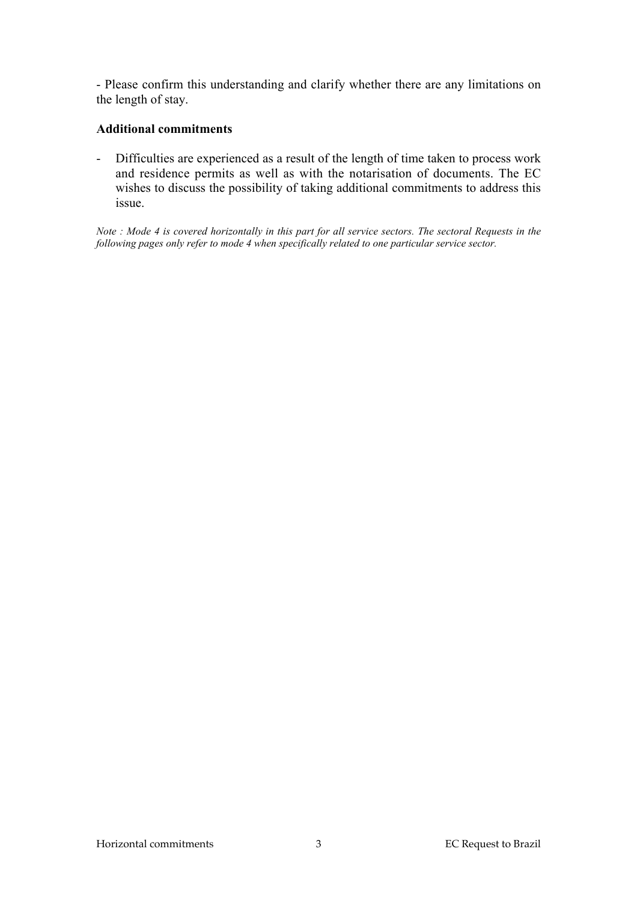- Please confirm this understanding and clarify whether there are any limitations on the length of stay.

### **Additional commitments**

- Difficulties are experienced as a result of the length of time taken to process work and residence permits as well as with the notarisation of documents. The EC wishes to discuss the possibility of taking additional commitments to address this issue.

*Note : Mode 4 is covered horizontally in this part for all service sectors. The sectoral Requests in the following pages only refer to mode 4 when specifically related to one particular service sector.*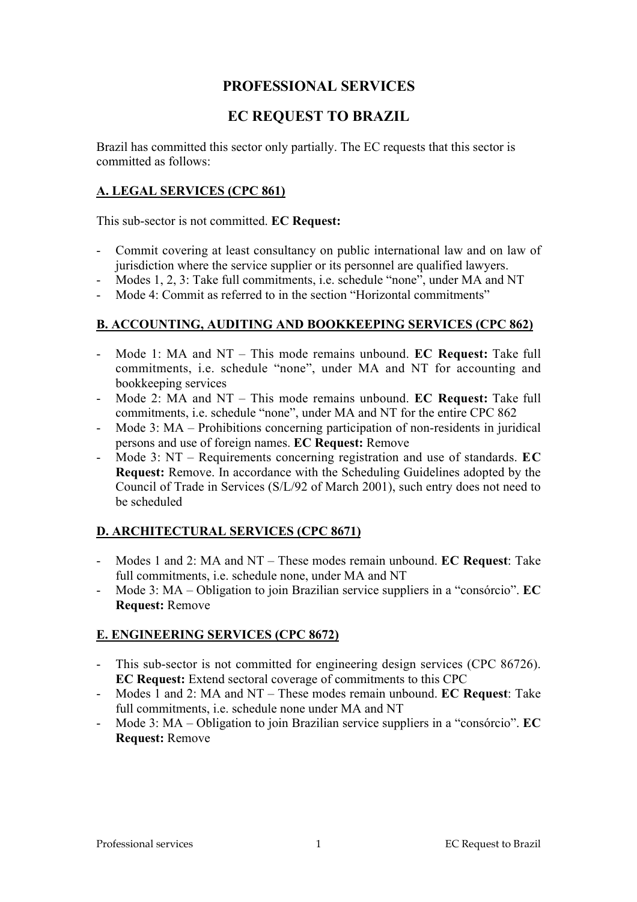## **PROFESSIONAL SERVICES**

## **EC REQUEST TO BRAZIL**

Brazil has committed this sector only partially. The EC requests that this sector is committed as follows:

## **A. LEGAL SERVICES (CPC 861)**

This sub-sector is not committed. **EC Request:**

- Commit covering at least consultancy on public international law and on law of jurisdiction where the service supplier or its personnel are qualified lawyers.
- Modes 1, 2, 3: Take full commitments, i.e. schedule "none", under MA and NT
- Mode 4: Commit as referred to in the section "Horizontal commitments"

## **B. ACCOUNTING, AUDITING AND BOOKKEEPING SERVICES (CPC 862)**

- Mode 1: MA and NT This mode remains unbound. **EC Request:** Take full commitments, i.e. schedule "none", under MA and NT for accounting and bookkeeping services
- Mode 2: MA and NT This mode remains unbound. **EC Request:** Take full commitments, i.e. schedule "none", under MA and NT for the entire CPC 862
- Mode 3: MA Prohibitions concerning participation of non-residents in juridical persons and use of foreign names. **EC Request:** Remove
- Mode 3: NT Requirements concerning registration and use of standards. **EC Request:** Remove. In accordance with the Scheduling Guidelines adopted by the Council of Trade in Services (S/L/92 of March 2001), such entry does not need to be scheduled

### **D. ARCHITECTURAL SERVICES (CPC 8671)**

- Modes 1 and 2: MA and NT These modes remain unbound. **EC Request**: Take full commitments, i.e. schedule none, under MA and NT
- Mode 3: MA Obligation to join Brazilian service suppliers in a "consórcio". **EC Request:** Remove

## **E. ENGINEERING SERVICES (CPC 8672)**

- This sub-sector is not committed for engineering design services (CPC 86726). **EC Request:** Extend sectoral coverage of commitments to this CPC
- Modes 1 and 2: MA and NT These modes remain unbound. **EC Request**: Take full commitments, i.e. schedule none under MA and NT
- Mode 3: MA Obligation to join Brazilian service suppliers in a "consórcio". **EC Request:** Remove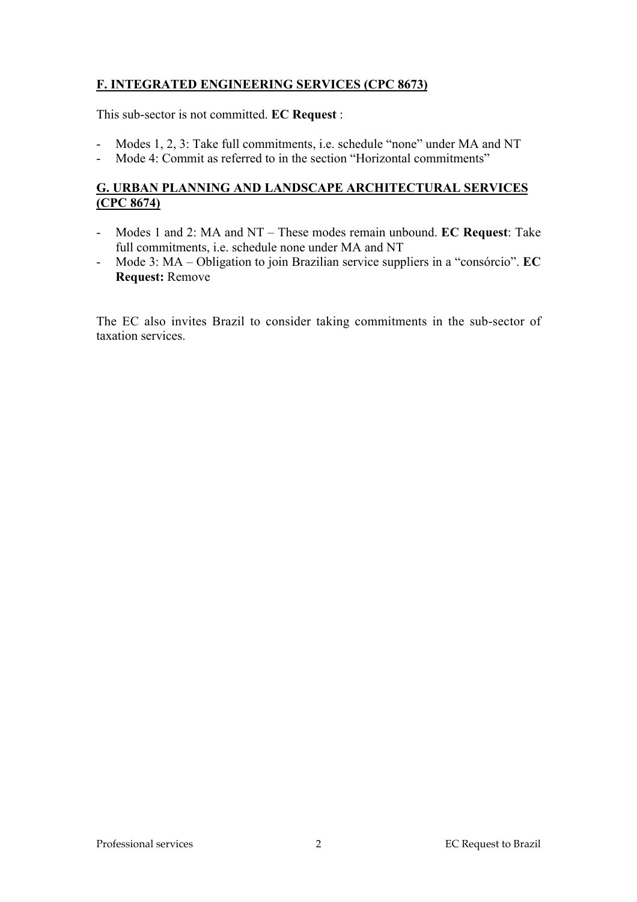## **F. INTEGRATED ENGINEERING SERVICES (CPC 8673)**

This sub-sector is not committed. **EC Request** :

- Modes 1, 2, 3: Take full commitments, i.e. schedule "none" under MA and NT
- Mode 4: Commit as referred to in the section "Horizontal commitments"

## **G. URBAN PLANNING AND LANDSCAPE ARCHITECTURAL SERVICES (CPC 8674)**

- Modes 1 and 2: MA and NT These modes remain unbound. **EC Request**: Take full commitments, i.e. schedule none under MA and NT
- Mode 3: MA Obligation to join Brazilian service suppliers in a "consórcio". **EC Request:** Remove

The EC also invites Brazil to consider taking commitments in the sub-sector of taxation services.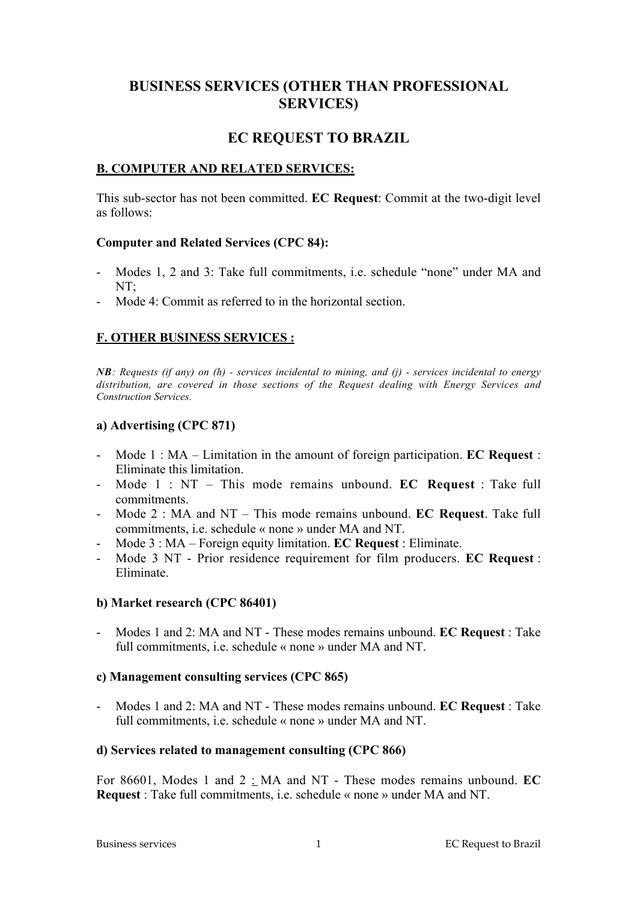# **BUSINESS SERVICES (OTHER THAN PROFESSIONAL SERVICES)**

## **EC REQUEST TO BRAZIL**

#### **B. COMPUTER AND RELATED SERVICES:**

This sub-sector has not been committed. **EC Request**: Commit at the two-digit level as follows:

#### **Computer and Related Services (CPC 84):**

- Modes 1, 2 and 3: Take full commitments, i.e. schedule "none" under MA and  $NT<sup>+</sup>$
- Mode 4: Commit as referred to in the horizontal section.

## **F. OTHER BUSINESS SERVICES :**

*NB: Requests (if any) on (h) - services incidental to mining, and (j) - services incidental to energy distribution, are covered in those sections of the Request dealing with Energy Services and Construction Services.*

#### **a) Advertising (CPC 871)**

- Mode 1 : MA Limitation in the amount of foreign participation. **EC Request** : Eliminate this limitation.
- Mode 1 : NT This mode remains unbound. **EC Request** : Take full commitments.
- Mode 2 : MA and NT This mode remains unbound. **EC Request**. Take full commitments, i.e. schedule « none » under MA and NT.
- Mode 3 : MA Foreign equity limitation. **EC Request** : Eliminate.
- Mode 3 NT Prior residence requirement for film producers. **EC Request** : Eliminate.

#### **b) Market research (CPC 86401)**

- Modes 1 and 2: MA and NT - These modes remains unbound. **EC Request** : Take full commitments, i.e. schedule « none » under MA and NT.

#### **c) Management consulting services (CPC 865)**

- Modes 1 and 2: MA and NT - These modes remains unbound. **EC Request** : Take full commitments, i.e. schedule « none » under MA and NT.

#### **d) Services related to management consulting (CPC 866)**

For 86601, Modes 1 and 2 : MA and NT - These modes remains unbound. **EC Request** : Take full commitments, i.e. schedule « none » under MA and NT.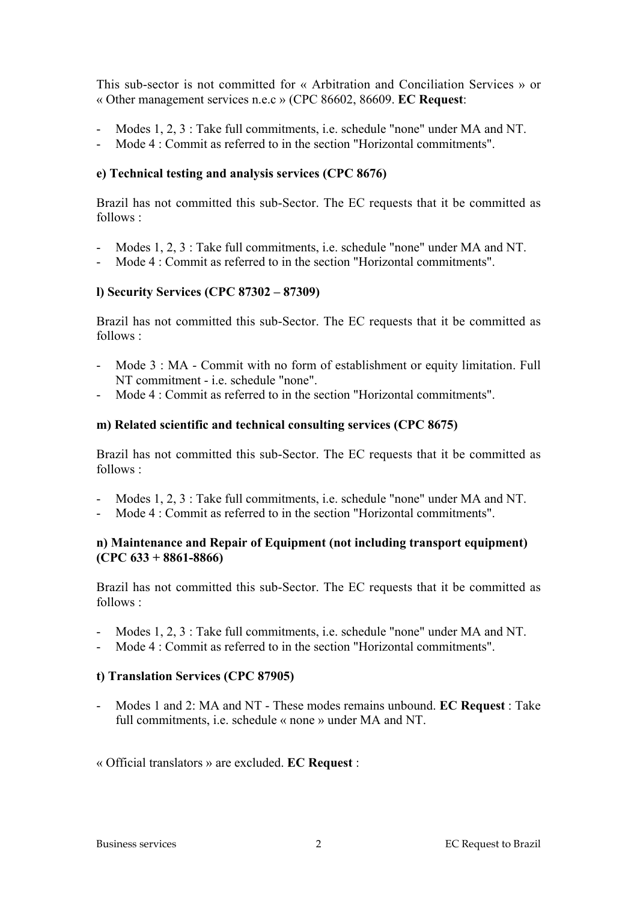This sub-sector is not committed for « Arbitration and Conciliation Services » or « Other management services n.e.c » (CPC 86602, 86609. **EC Request**:

- Modes 1, 2, 3 : Take full commitments, i.e. schedule "none" under MA and NT.
- Mode 4 : Commit as referred to in the section "Horizontal commitments".

#### **e) Technical testing and analysis services (CPC 8676)**

Brazil has not committed this sub-Sector. The EC requests that it be committed as follows :

- Modes 1, 2, 3 : Take full commitments, i.e. schedule "none" under MA and NT.
- Mode 4 : Commit as referred to in the section "Horizontal commitments".

#### **l) Security Services (CPC 87302 – 87309)**

Brazil has not committed this sub-Sector. The EC requests that it be committed as follows :

- Mode 3 : MA Commit with no form of establishment or equity limitation. Full NT commitment - i.e. schedule "none".
- Mode 4 : Commit as referred to in the section "Horizontal commitments".

#### **m) Related scientific and technical consulting services (CPC 8675)**

Brazil has not committed this sub-Sector. The EC requests that it be committed as follows :

- Modes 1, 2, 3 : Take full commitments, i.e. schedule "none" under MA and NT.
- Mode 4 : Commit as referred to in the section "Horizontal commitments".

#### **n) Maintenance and Repair of Equipment (not including transport equipment) (CPC 633 + 8861-8866)**

Brazil has not committed this sub-Sector. The EC requests that it be committed as follows :

- Modes 1, 2, 3 : Take full commitments, i.e. schedule "none" under MA and NT.
- Mode 4 : Commit as referred to in the section "Horizontal commitments".

#### **t) Translation Services (CPC 87905)**

- Modes 1 and 2: MA and NT - These modes remains unbound. **EC Request** : Take full commitments, i.e. schedule « none » under MA and NT.

« Official translators » are excluded. **EC Request** :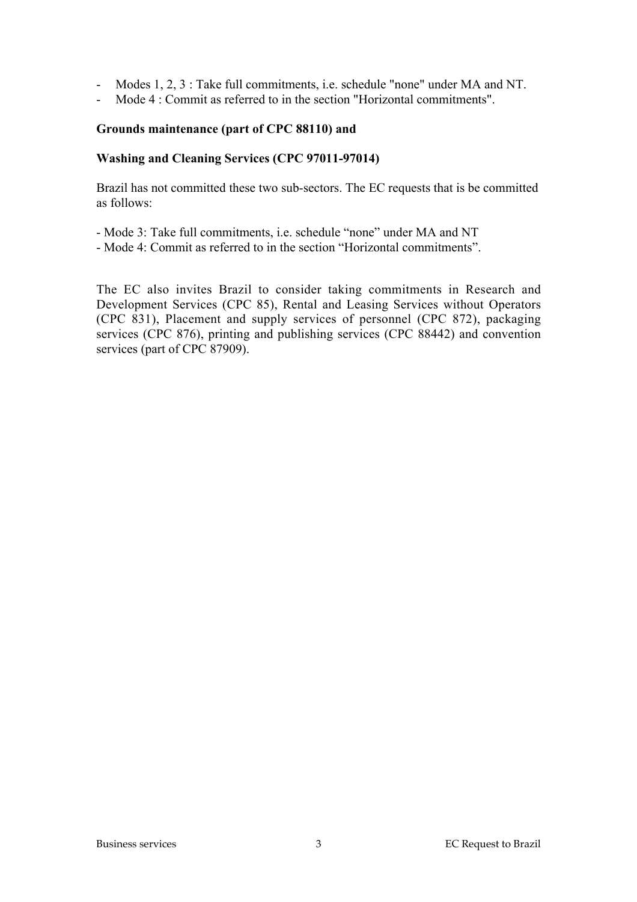- Modes 1, 2, 3 : Take full commitments, i.e. schedule "none" under MA and NT.
- Mode 4 : Commit as referred to in the section "Horizontal commitments".

#### **Grounds maintenance (part of CPC 88110) and**

#### **Washing and Cleaning Services (CPC 97011-97014)**

Brazil has not committed these two sub-sectors. The EC requests that is be committed as follows:

- Mode 3: Take full commitments, i.e. schedule "none" under MA and NT
- Mode 4: Commit as referred to in the section "Horizontal commitments".

The EC also invites Brazil to consider taking commitments in Research and Development Services (CPC 85), Rental and Leasing Services without Operators (CPC 831), Placement and supply services of personnel (CPC 872), packaging services (CPC 876), printing and publishing services (CPC 88442) and convention services (part of CPC 87909).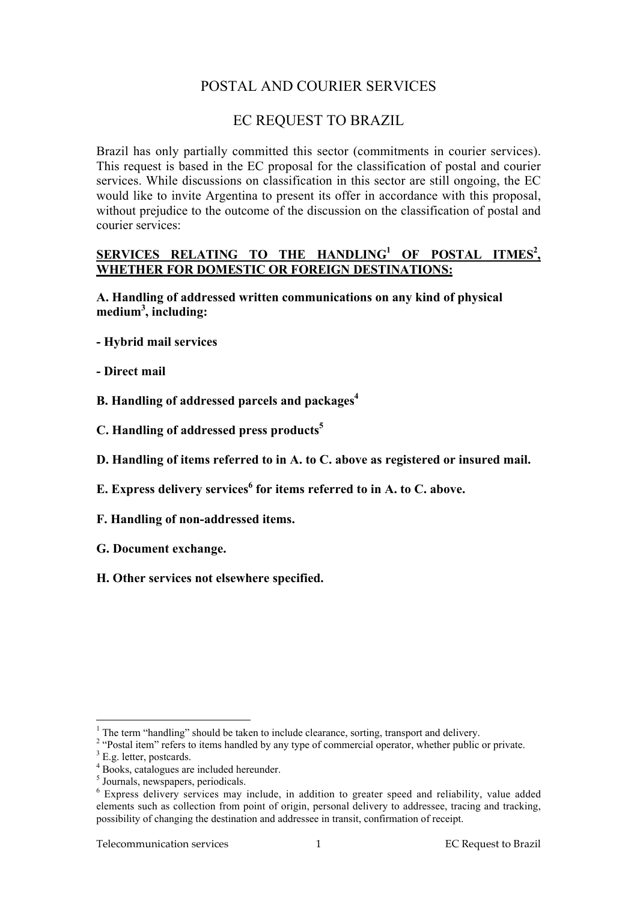# POSTAL AND COURIER SERVICES

## EC REQUEST TO BRAZIL

Brazil has only partially committed this sector (commitments in courier services). This request is based in the EC proposal for the classification of postal and courier services. While discussions on classification in this sector are still ongoing, the EC would like to invite Argentina to present its offer in accordance with this proposal, without prejudice to the outcome of the discussion on the classification of postal and courier services:

### **SERVICES RELATING TO THE HANDLING1 OF POSTAL ITMES2 , WHETHER FOR DOMESTIC OR FOREIGN DESTINATIONS:**

**A. Handling of addressed written communications on any kind of physical medium3 , including:**

- **Hybrid mail services**
- **Direct mail**
- **B. Handling of addressed parcels and packages4**
- **C. Handling of addressed press products5**
- **D. Handling of items referred to in A. to C. above as registered or insured mail.**
- **E. Express delivery services<sup>6</sup> for items referred to in A. to C. above.**
- **F. Handling of non-addressed items.**
- **G. Document exchange.**
- **H. Other services not elsewhere specified.**

 $\frac{1}{1}$  $<sup>1</sup>$  The term "handling" should be taken to include clearance, sorting, transport and delivery.</sup>

<sup>&</sup>lt;sup>2</sup> "Postal item" refers to items handled by any type of commercial operator, whether public or private.

 $3$  E.g. letter, postcards.

<sup>4</sup> Books, catalogues are included hereunder.

<sup>&</sup>lt;sup>5</sup> Journals, newspapers, periodicals.

<sup>&</sup>lt;sup>6</sup> Express delivery services may include, in addition to greater speed and reliability, value added elements such as collection from point of origin, personal delivery to addressee, tracing and tracking, possibility of changing the destination and addressee in transit, confirmation of receipt.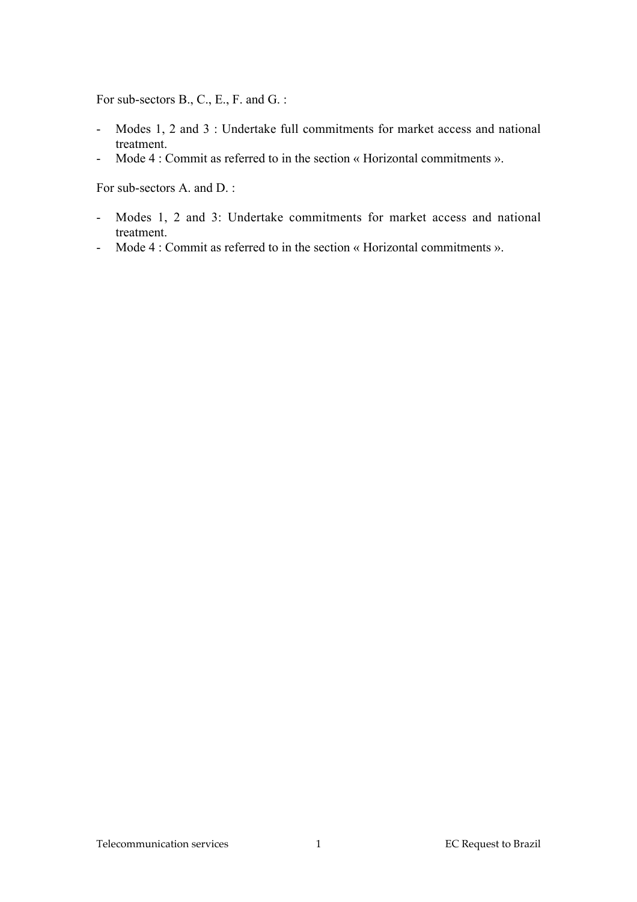For sub-sectors B., C., E., F. and G. :

- Modes 1, 2 and 3 : Undertake full commitments for market access and national treatment.
- Mode 4 : Commit as referred to in the section « Horizontal commitments ».

For sub-sectors A. and D. :

- Modes 1, 2 and 3: Undertake commitments for market access and national treatment.
- Mode 4 : Commit as referred to in the section « Horizontal commitments ».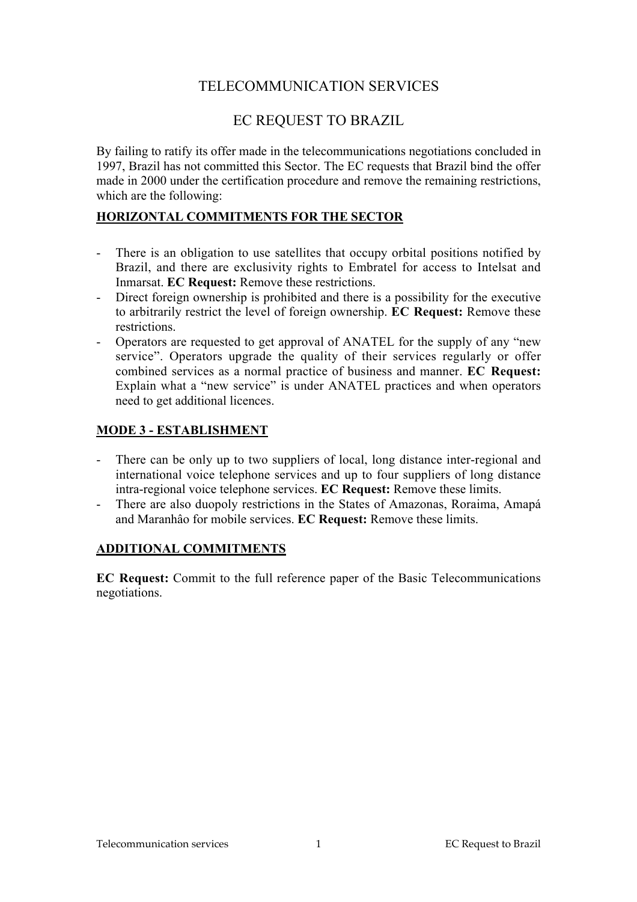# TELECOMMUNICATION SERVICES

# EC REQUEST TO BRAZIL

By failing to ratify its offer made in the telecommunications negotiations concluded in 1997, Brazil has not committed this Sector. The EC requests that Brazil bind the offer made in 2000 under the certification procedure and remove the remaining restrictions, which are the following:

## **HORIZONTAL COMMITMENTS FOR THE SECTOR**

- There is an obligation to use satellites that occupy orbital positions notified by Brazil, and there are exclusivity rights to Embratel for access to Intelsat and Inmarsat. **EC Request:** Remove these restrictions.
- Direct foreign ownership is prohibited and there is a possibility for the executive to arbitrarily restrict the level of foreign ownership. **EC Request:** Remove these restrictions.
- Operators are requested to get approval of ANATEL for the supply of any "new service". Operators upgrade the quality of their services regularly or offer combined services as a normal practice of business and manner. **EC Request:** Explain what a "new service" is under ANATEL practices and when operators need to get additional licences.

## **MODE 3 - ESTABLISHMENT**

- There can be only up to two suppliers of local, long distance inter-regional and international voice telephone services and up to four suppliers of long distance intra-regional voice telephone services. **EC Request:** Remove these limits.
- There are also duopoly restrictions in the States of Amazonas, Roraima, Amapá and Maranhâo for mobile services. **EC Request:** Remove these limits.

### **ADDITIONAL COMMITMENTS**

**EC Request:** Commit to the full reference paper of the Basic Telecommunications negotiations.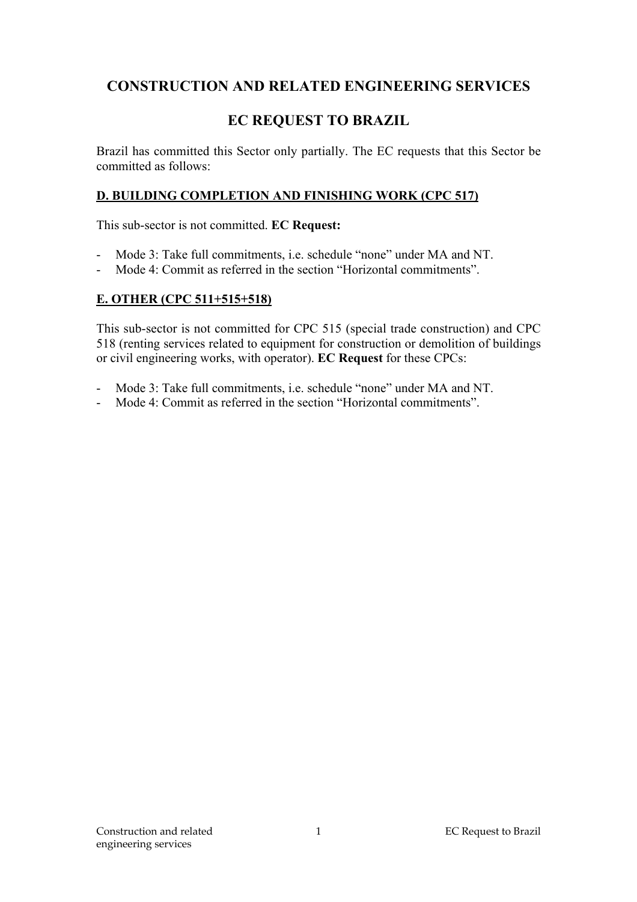# **CONSTRUCTION AND RELATED ENGINEERING SERVICES**

# **EC REQUEST TO BRAZIL**

Brazil has committed this Sector only partially. The EC requests that this Sector be committed as follows:

### **D. BUILDING COMPLETION AND FINISHING WORK (CPC 517)**

This sub-sector is not committed. **EC Request:**

- Mode 3: Take full commitments, i.e. schedule "none" under MA and NT.
- Mode 4: Commit as referred in the section "Horizontal commitments".

### **E. OTHER (CPC 511+515+518)**

This sub-sector is not committed for CPC 515 (special trade construction) and CPC 518 (renting services related to equipment for construction or demolition of buildings or civil engineering works, with operator). **EC Request** for these CPCs:

- Mode 3: Take full commitments, i.e. schedule "none" under MA and NT.
- Mode 4: Commit as referred in the section "Horizontal commitments".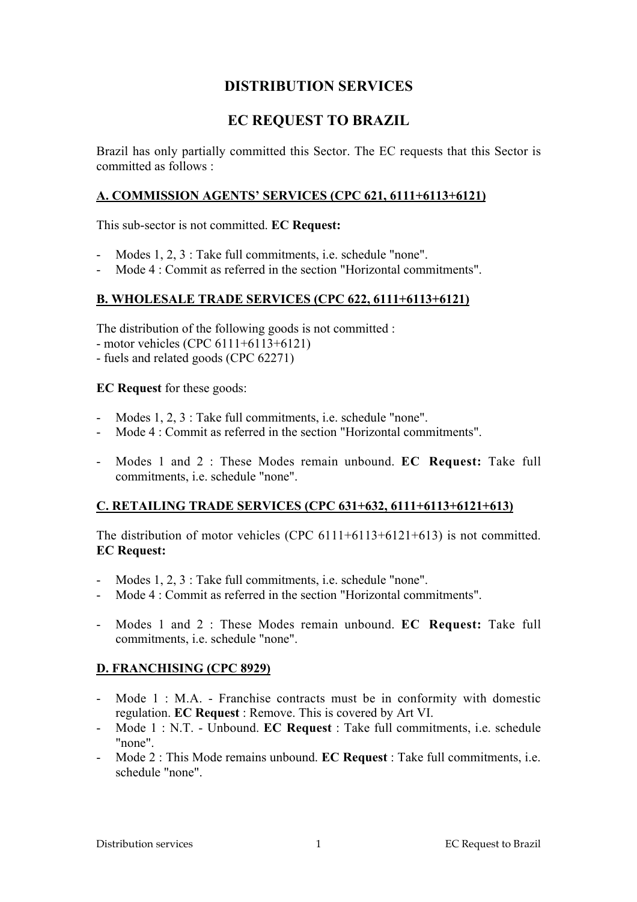## **DISTRIBUTION SERVICES**

# **EC REQUEST TO BRAZIL**

Brazil has only partially committed this Sector. The EC requests that this Sector is committed as follows :

#### **A. COMMISSION AGENTS' SERVICES (CPC 621, 6111+6113+6121)**

This sub-sector is not committed. **EC Request:**

- Modes 1, 2, 3 : Take full commitments, i.e. schedule "none".
- Mode 4 : Commit as referred in the section "Horizontal commitments".

### **B. WHOLESALE TRADE SERVICES (CPC 622, 6111+6113+6121)**

The distribution of the following goods is not committed :

- motor vehicles (CPC 6111+6113+6121)
- fuels and related goods (CPC 62271)

**EC Request** for these goods:

- Modes 1, 2, 3 : Take full commitments, i.e. schedule "none".
- Mode 4 : Commit as referred in the section "Horizontal commitments".
- Modes 1 and 2 : These Modes remain unbound. **EC Request:** Take full commitments, i.e. schedule "none".

### **C. RETAILING TRADE SERVICES (CPC 631+632, 6111+6113+6121+613)**

The distribution of motor vehicles (CPC  $6111+6113+6121+613$ ) is not committed. **EC Request:**

- Modes 1, 2, 3 : Take full commitments, i.e. schedule "none".
- Mode 4 : Commit as referred in the section "Horizontal commitments".
- Modes 1 and 2 : These Modes remain unbound. **EC Request:** Take full commitments, i.e. schedule "none".

### **D. FRANCHISING (CPC 8929)**

- Mode 1 : M.A. Franchise contracts must be in conformity with domestic regulation. **EC Request** : Remove. This is covered by Art VI.
- Mode 1 : N.T. Unbound. **EC Request** : Take full commitments, i.e. schedule "none".
- Mode 2 : This Mode remains unbound. **EC Request** : Take full commitments, i.e. schedule "none".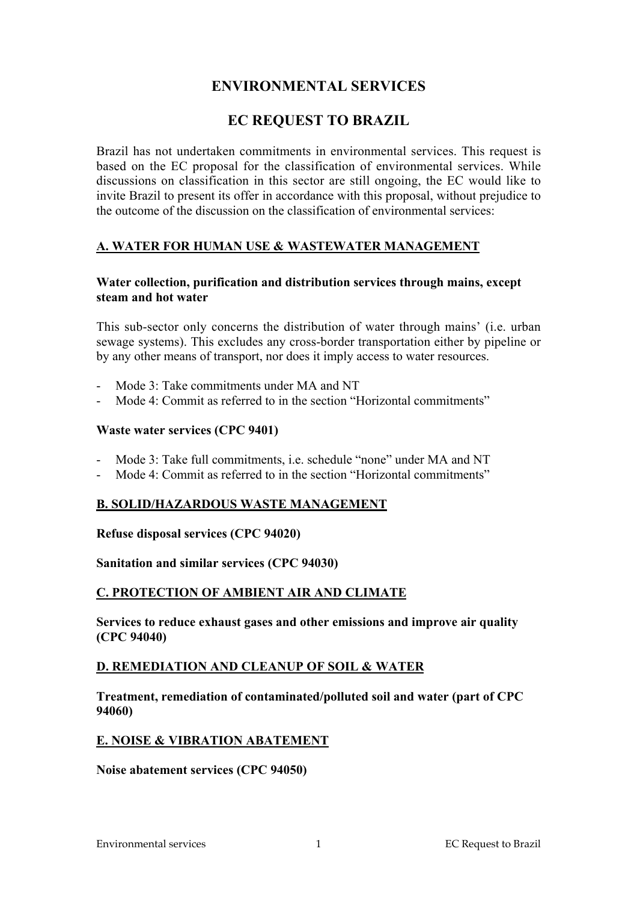## **ENVIRONMENTAL SERVICES**

# **EC REQUEST TO BRAZIL**

Brazil has not undertaken commitments in environmental services. This request is based on the EC proposal for the classification of environmental services. While discussions on classification in this sector are still ongoing, the EC would like to invite Brazil to present its offer in accordance with this proposal, without prejudice to the outcome of the discussion on the classification of environmental services:

### **A. WATER FOR HUMAN USE & WASTEWATER MANAGEMENT**

#### **Water collection, purification and distribution services through mains, except steam and hot water**

This sub-sector only concerns the distribution of water through mains' (i.e. urban sewage systems). This excludes any cross-border transportation either by pipeline or by any other means of transport, nor does it imply access to water resources.

- Mode 3: Take commitments under MA and NT
- Mode 4: Commit as referred to in the section "Horizontal commitments"

### **Waste water services (CPC 9401)**

- Mode 3: Take full commitments, i.e. schedule "none" under MA and NT
- Mode 4: Commit as referred to in the section "Horizontal commitments"

### **B. SOLID/HAZARDOUS WASTE MANAGEMENT**

#### **Refuse disposal services (CPC 94020)**

### **Sanitation and similar services (CPC 94030)**

### **C. PROTECTION OF AMBIENT AIR AND CLIMATE**

**Services to reduce exhaust gases and other emissions and improve air quality (CPC 94040)**

### **D. REMEDIATION AND CLEANUP OF SOIL & WATER**

**Treatment, remediation of contaminated/polluted soil and water (part of CPC 94060)**

### **E. NOISE & VIBRATION ABATEMENT**

#### **Noise abatement services (CPC 94050)**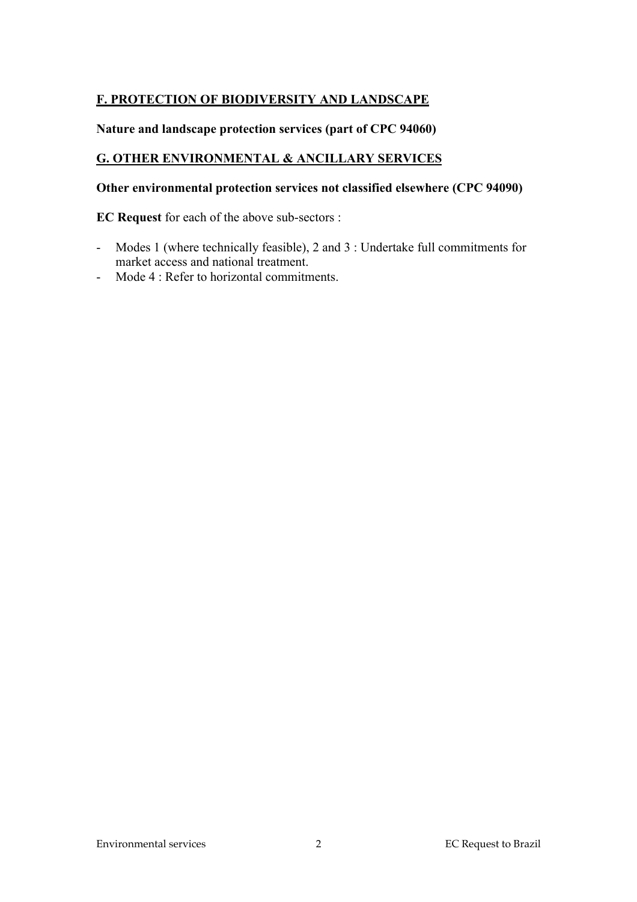## **F. PROTECTION OF BIODIVERSITY AND LANDSCAPE**

## **Nature and landscape protection services (part of CPC 94060)**

## **G. OTHER ENVIRONMENTAL & ANCILLARY SERVICES**

## **Other environmental protection services not classified elsewhere (CPC 94090)**

**EC Request** for each of the above sub-sectors :

- Modes 1 (where technically feasible), 2 and 3 : Undertake full commitments for market access and national treatment.
- Mode 4 : Refer to horizontal commitments.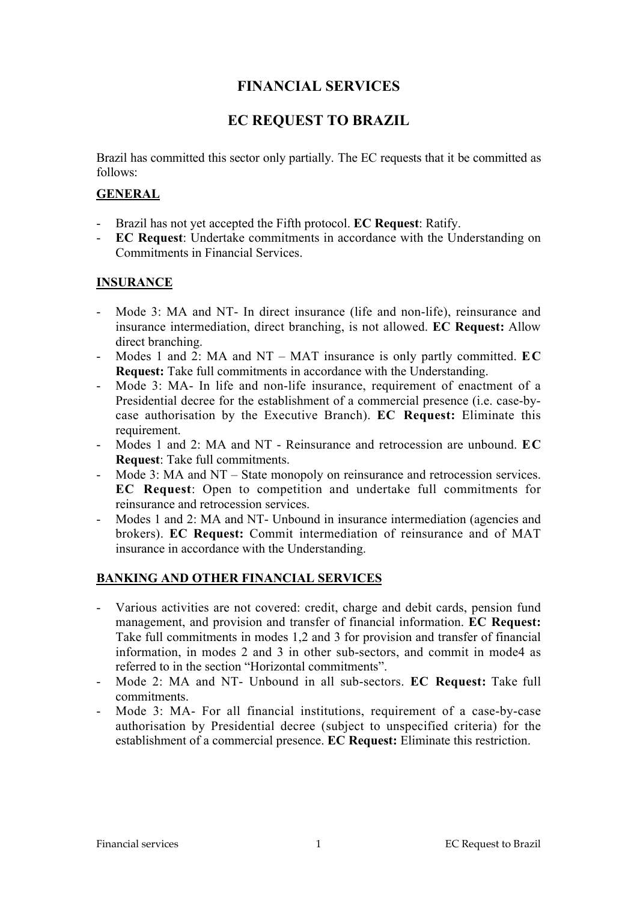## **FINANCIAL SERVICES**

# **EC REQUEST TO BRAZIL**

Brazil has committed this sector only partially. The EC requests that it be committed as follows:

## **GENERAL**

- Brazil has not yet accepted the Fifth protocol. **EC Request**: Ratify.
- **EC Request**: Undertake commitments in accordance with the Understanding on Commitments in Financial Services.

## **INSURANCE**

- Mode 3: MA and NT- In direct insurance (life and non-life), reinsurance and insurance intermediation, direct branching, is not allowed. **EC Request:** Allow direct branching.
- Modes 1 and 2: MA and NT MAT insurance is only partly committed. **EC Request:** Take full commitments in accordance with the Understanding.
- Mode 3: MA- In life and non-life insurance, requirement of enactment of a Presidential decree for the establishment of a commercial presence (i.e. case-bycase authorisation by the Executive Branch). **EC Request:** Eliminate this requirement
- Modes 1 and 2: MA and NT Reinsurance and retrocession are unbound. **EC Request**: Take full commitments.
- Mode 3: MA and NT State monopoly on reinsurance and retrocession services. **EC Request**: Open to competition and undertake full commitments for reinsurance and retrocession services.
- Modes 1 and 2: MA and NT- Unbound in insurance intermediation (agencies and brokers). **EC Request:** Commit intermediation of reinsurance and of MAT insurance in accordance with the Understanding.

## **BANKING AND OTHER FINANCIAL SERVICES**

- Various activities are not covered: credit, charge and debit cards, pension fund management, and provision and transfer of financial information. **EC Request:** Take full commitments in modes 1,2 and 3 for provision and transfer of financial information, in modes 2 and 3 in other sub-sectors, and commit in mode4 as referred to in the section "Horizontal commitments".
- Mode 2: MA and NT- Unbound in all sub-sectors. **EC Request:** Take full commitments.
- Mode 3: MA- For all financial institutions, requirement of a case-by-case authorisation by Presidential decree (subject to unspecified criteria) for the establishment of a commercial presence. **EC Request:** Eliminate this restriction.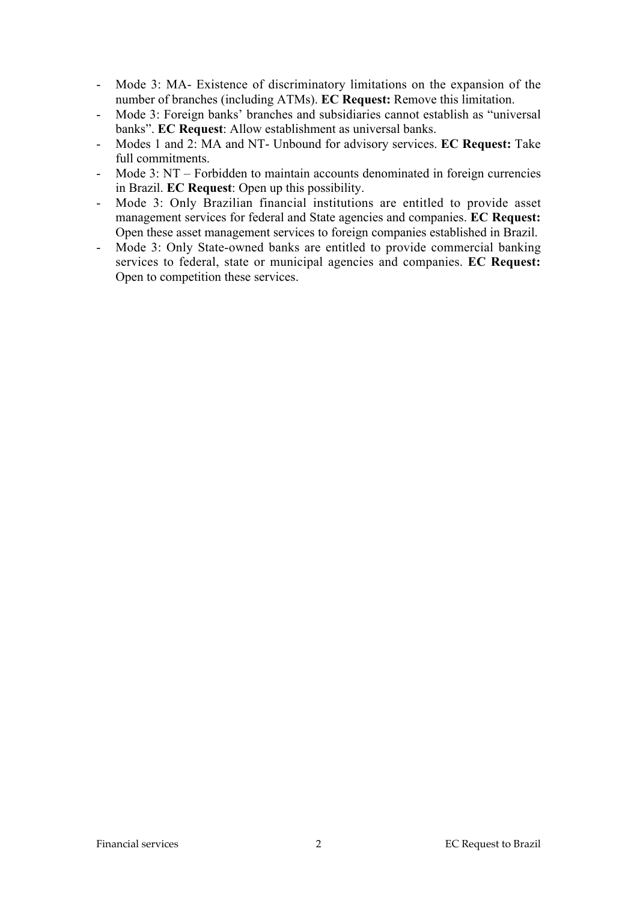- Mode 3: MA- Existence of discriminatory limitations on the expansion of the number of branches (including ATMs). **EC Request:** Remove this limitation.
- Mode 3: Foreign banks' branches and subsidiaries cannot establish as "universal banks". **EC Request**: Allow establishment as universal banks.
- Modes 1 and 2: MA and NT- Unbound for advisory services. **EC Request:** Take full commitments.
- Mode 3: NT Forbidden to maintain accounts denominated in foreign currencies in Brazil. **EC Request**: Open up this possibility.
- Mode 3: Only Brazilian financial institutions are entitled to provide asset management services for federal and State agencies and companies. **EC Request:** Open these asset management services to foreign companies established in Brazil.
- Mode 3: Only State-owned banks are entitled to provide commercial banking services to federal, state or municipal agencies and companies. **EC Request:** Open to competition these services.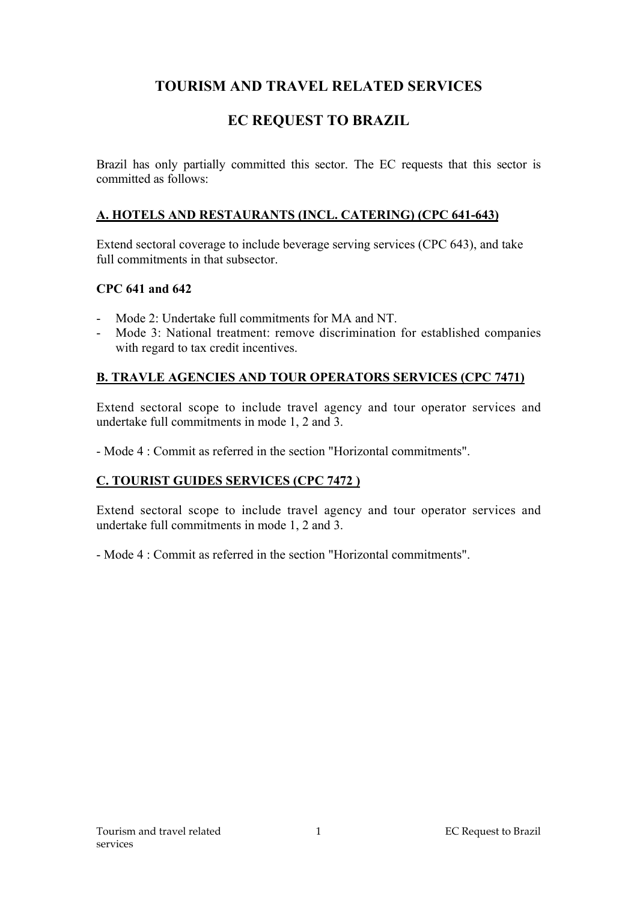# **TOURISM AND TRAVEL RELATED SERVICES**

# **EC REQUEST TO BRAZIL**

Brazil has only partially committed this sector. The EC requests that this sector is committed as follows:

## **A. HOTELS AND RESTAURANTS (INCL. CATERING) (CPC 641-643)**

Extend sectoral coverage to include beverage serving services (CPC 643), and take full commitments in that subsector

## **CPC 641 and 642**

- Mode 2: Undertake full commitments for MA and NT.
- Mode 3: National treatment: remove discrimination for established companies with regard to tax credit incentives.

## **B. TRAVLE AGENCIES AND TOUR OPERATORS SERVICES (CPC 7471)**

Extend sectoral scope to include travel agency and tour operator services and undertake full commitments in mode 1, 2 and 3.

- Mode 4 : Commit as referred in the section "Horizontal commitments".

## **C. TOURIST GUIDES SERVICES (CPC 7472 )**

Extend sectoral scope to include travel agency and tour operator services and undertake full commitments in mode 1, 2 and 3.

- Mode 4 : Commit as referred in the section "Horizontal commitments".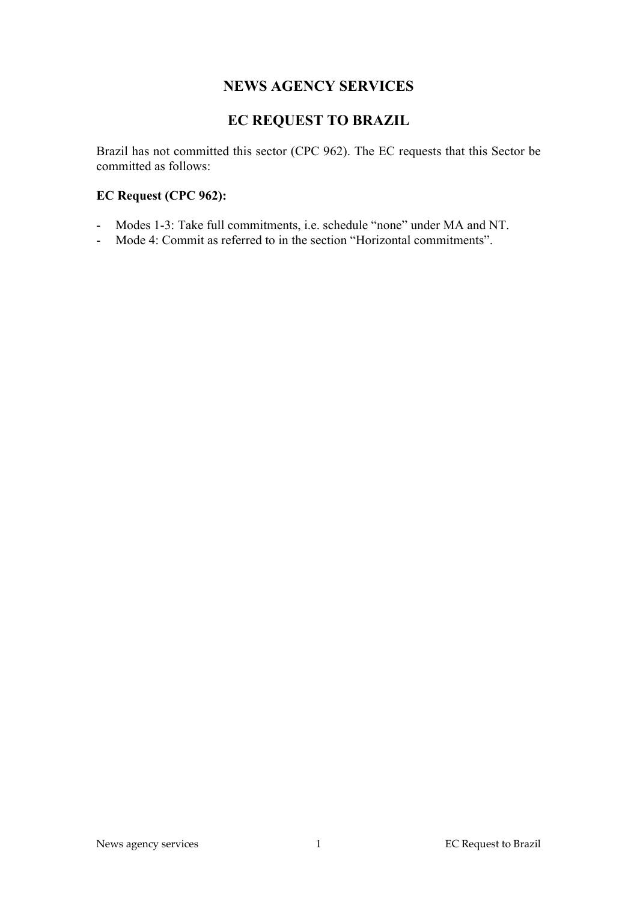## **NEWS AGENCY SERVICES**

# **EC REQUEST TO BRAZIL**

Brazil has not committed this sector (CPC 962). The EC requests that this Sector be committed as follows:

## **EC Request (CPC 962):**

- Modes 1-3: Take full commitments, i.e. schedule "none" under MA and NT.
- Mode 4: Commit as referred to in the section "Horizontal commitments".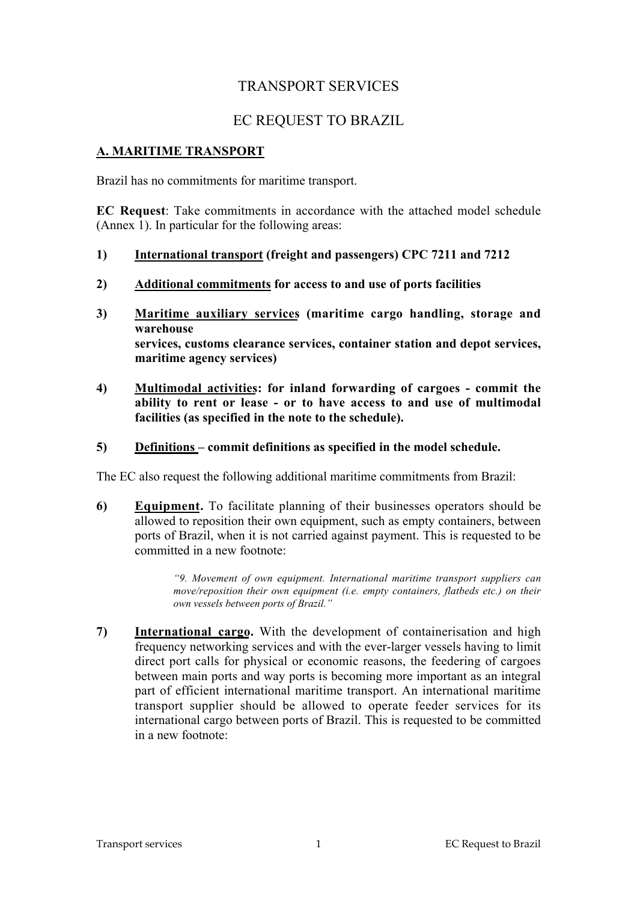# TRANSPORT SERVICES

# EC REQUEST TO BRAZIL

## **A. MARITIME TRANSPORT**

Brazil has no commitments for maritime transport.

**EC Request**: Take commitments in accordance with the attached model schedule (Annex 1). In particular for the following areas:

- **1) International transport (freight and passengers) CPC 7211 and 7212**
- **2) Additional commitments for access to and use of ports facilities**
- **3) Maritime auxiliary services (maritime cargo handling, storage and warehouse services, customs clearance services, container station and depot services, maritime agency services)**
- **4) Multimodal activities: for inland forwarding of cargoes commit the ability to rent or lease - or to have access to and use of multimodal facilities (as specified in the note to the schedule).**
- **5) Definitions commit definitions as specified in the model schedule.**

The EC also request the following additional maritime commitments from Brazil:

**6) Equipment.** To facilitate planning of their businesses operators should be allowed to reposition their own equipment, such as empty containers, between ports of Brazil, when it is not carried against payment. This is requested to be committed in a new footnote:

> *"9. Movement of own equipment. International maritime transport suppliers can move/reposition their own equipment (i.e. empty containers, flatbeds etc.) on their own vessels between ports of Brazil."*

**7) International cargo.** With the development of containerisation and high frequency networking services and with the ever-larger vessels having to limit direct port calls for physical or economic reasons, the feedering of cargoes between main ports and way ports is becoming more important as an integral part of efficient international maritime transport. An international maritime transport supplier should be allowed to operate feeder services for its international cargo between ports of Brazil. This is requested to be committed in a new footnote: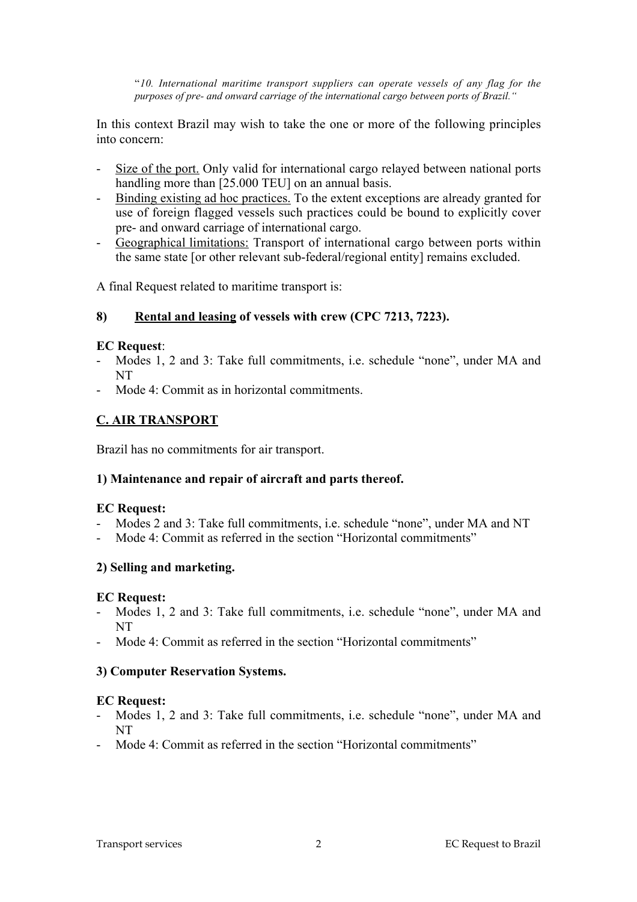"*10. International maritime transport suppliers can operate vessels of any flag for the purposes of pre- and onward carriage of the international cargo between ports of Brazil."*

In this context Brazil may wish to take the one or more of the following principles into concern:

- Size of the port. Only valid for international cargo relayed between national ports handling more than [25,000 TEU] on an annual basis.
- Binding existing ad hoc practices. To the extent exceptions are already granted for use of foreign flagged vessels such practices could be bound to explicitly cover pre- and onward carriage of international cargo.
- Geographical limitations: Transport of international cargo between ports within the same state [or other relevant sub-federal/regional entity] remains excluded.

A final Request related to maritime transport is:

### **8) Rental and leasing of vessels with crew (CPC 7213, 7223).**

#### **EC Request**:

- Modes 1, 2 and 3: Take full commitments, i.e. schedule "none", under MA and NT
- Mode 4: Commit as in horizontal commitments.

### **C. AIR TRANSPORT**

Brazil has no commitments for air transport.

### **1) Maintenance and repair of aircraft and parts thereof.**

#### **EC Request:**

- Modes 2 and 3: Take full commitments, i.e. schedule "none", under MA and NT
- Mode 4: Commit as referred in the section "Horizontal commitments"

### **2) Selling and marketing.**

#### **EC Request:**

- Modes 1, 2 and 3: Take full commitments, i.e. schedule "none", under MA and NT
- Mode 4: Commit as referred in the section "Horizontal commitments"

### **3) Computer Reservation Systems.**

#### **EC Request:**

- Modes 1, 2 and 3: Take full commitments, i.e. schedule "none", under MA and NT
- Mode 4: Commit as referred in the section "Horizontal commitments"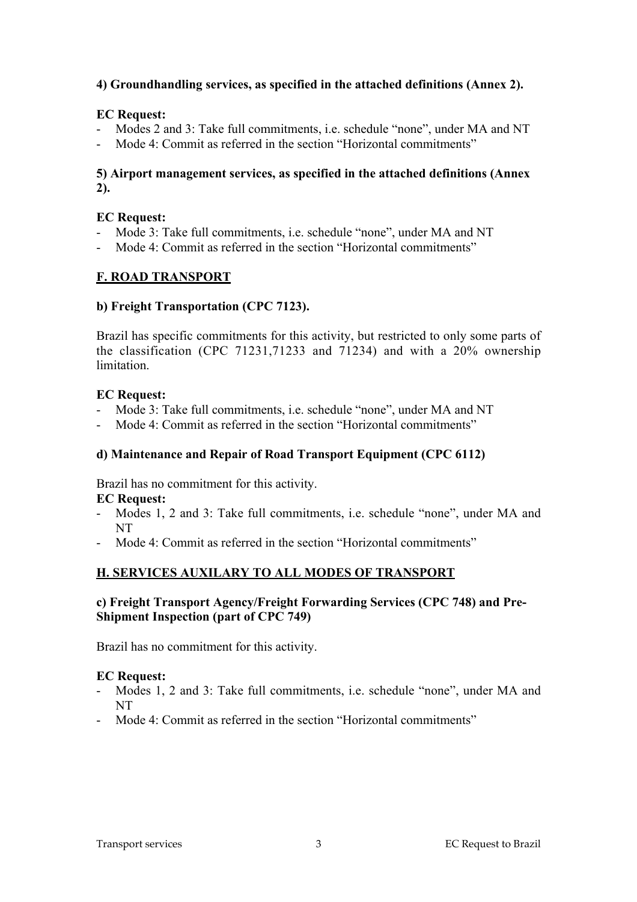## **4) Groundhandling services, as specified in the attached definitions (Annex 2).**

#### **EC Request:**

- Modes 2 and 3: Take full commitments, i.e. schedule "none", under MA and NT
- Mode 4: Commit as referred in the section "Horizontal commitments"

### **5) Airport management services, as specified in the attached definitions (Annex 2).**

#### **EC Request:**

- Mode 3: Take full commitments, i.e. schedule "none", under MA and NT
- Mode 4: Commit as referred in the section "Horizontal commitments"

## **F. ROAD TRANSPORT**

### **b) Freight Transportation (CPC 7123).**

Brazil has specific commitments for this activity, but restricted to only some parts of the classification (CPC 71231,71233 and 71234) and with a 20% ownership limitation.

### **EC Request:**

- Mode 3: Take full commitments, i.e. schedule "none", under MA and NT
- Mode 4: Commit as referred in the section "Horizontal commitments"

## **d) Maintenance and Repair of Road Transport Equipment (CPC 6112)**

Brazil has no commitment for this activity.

### **EC Request:**

- Modes 1, 2 and 3: Take full commitments, i.e. schedule "none", under MA and NT
- Mode 4: Commit as referred in the section "Horizontal commitments"

## **H. SERVICES AUXILARY TO ALL MODES OF TRANSPORT**

### **c) Freight Transport Agency/Freight Forwarding Services (CPC 748) and Pre-Shipment Inspection (part of CPC 749)**

Brazil has no commitment for this activity.

### **EC Request:**

- Modes 1, 2 and 3: Take full commitments, i.e. schedule "none", under MA and NT
- Mode 4: Commit as referred in the section "Horizontal commitments"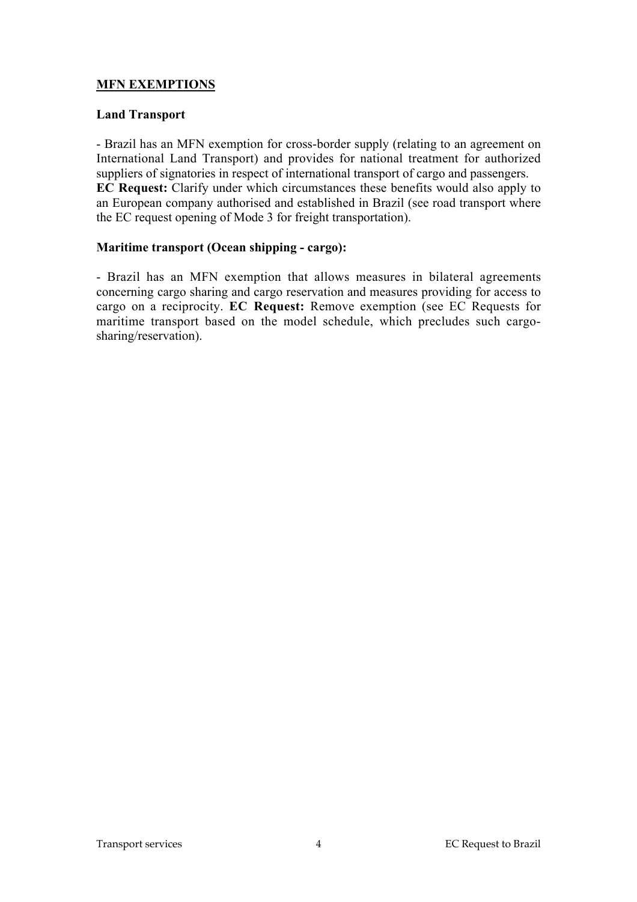## **MFN EXEMPTIONS**

#### **Land Transport**

- Brazil has an MFN exemption for cross-border supply (relating to an agreement on International Land Transport) and provides for national treatment for authorized suppliers of signatories in respect of international transport of cargo and passengers. **EC Request:** Clarify under which circumstances these benefits would also apply to an European company authorised and established in Brazil (see road transport where the EC request opening of Mode 3 for freight transportation).

#### **Maritime transport (Ocean shipping - cargo):**

- Brazil has an MFN exemption that allows measures in bilateral agreements concerning cargo sharing and cargo reservation and measures providing for access to cargo on a reciprocity. **EC Request:** Remove exemption (see EC Requests for maritime transport based on the model schedule, which precludes such cargosharing/reservation).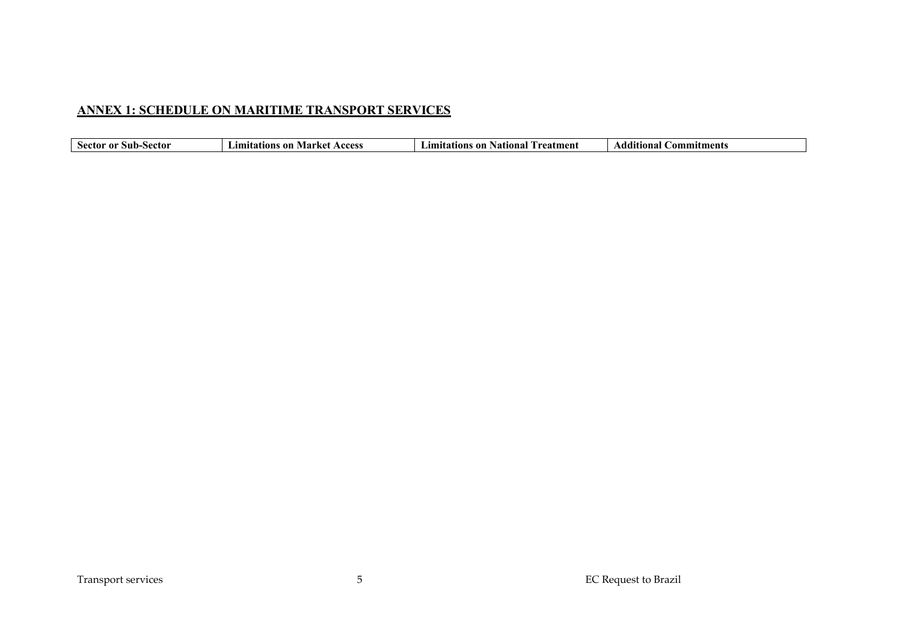# **ANNEX 1: SCHEDULE ON MARITIME TRANSPORT SERVICES**

| sector<br>S11D-<br>r 10 | on<br>amr'<br>Acces<br>tıons<br>$\mathbf{a}$ . $\mathbf{a}$<br>71 AI NC | National<br>reatment<br>- ON<br>ıons | ,dd'<br><b>Commitments</b><br>aona). |
|-------------------------|-------------------------------------------------------------------------|--------------------------------------|--------------------------------------|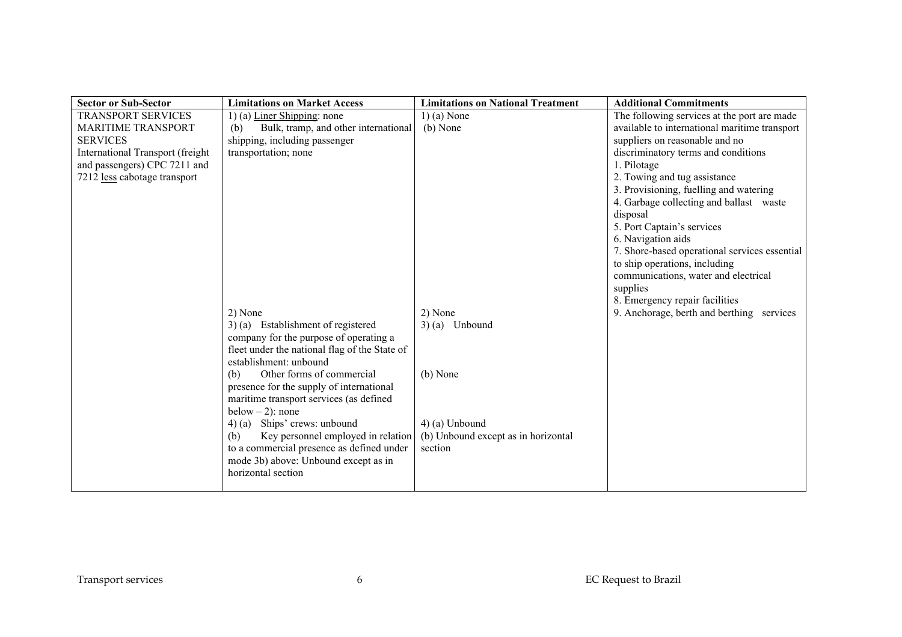| <b>Sector or Sub-Sector</b>      | <b>Limitations on Market Access</b>                                                     | <b>Limitations on National Treatment</b> | <b>Additional Commitments</b>                 |
|----------------------------------|-----------------------------------------------------------------------------------------|------------------------------------------|-----------------------------------------------|
| <b>TRANSPORT SERVICES</b>        | 1) (a) Liner Shipping: none                                                             | $1)$ (a) None                            | The following services at the port are made   |
| <b>MARITIME TRANSPORT</b>        | Bulk, tramp, and other international<br>(b)                                             | (b) None                                 | available to international maritime transport |
| <b>SERVICES</b>                  | shipping, including passenger                                                           |                                          | suppliers on reasonable and no                |
| International Transport (freight | transportation; none                                                                    |                                          | discriminatory terms and conditions           |
| and passengers) CPC 7211 and     |                                                                                         |                                          | 1. Pilotage                                   |
| 7212 less cabotage transport     |                                                                                         |                                          | 2. Towing and tug assistance                  |
|                                  |                                                                                         |                                          | 3. Provisioning, fuelling and watering        |
|                                  |                                                                                         |                                          | 4. Garbage collecting and ballast waste       |
|                                  |                                                                                         |                                          | disposal                                      |
|                                  |                                                                                         |                                          | 5. Port Captain's services                    |
|                                  |                                                                                         |                                          | 6. Navigation aids                            |
|                                  |                                                                                         |                                          | 7. Shore-based operational services essential |
|                                  |                                                                                         |                                          | to ship operations, including                 |
|                                  |                                                                                         |                                          | communications, water and electrical          |
|                                  |                                                                                         |                                          | supplies                                      |
|                                  |                                                                                         |                                          | 8. Emergency repair facilities                |
|                                  | 2) None                                                                                 | 2) None                                  | 9. Anchorage, berth and berthing services     |
|                                  | 3) (a) Establishment of registered                                                      | $3)$ (a) Unbound                         |                                               |
|                                  | company for the purpose of operating a<br>fleet under the national flag of the State of |                                          |                                               |
|                                  | establishment: unbound                                                                  |                                          |                                               |
|                                  | Other forms of commercial<br>(h)                                                        | (b) None                                 |                                               |
|                                  | presence for the supply of international                                                |                                          |                                               |
|                                  | maritime transport services (as defined                                                 |                                          |                                               |
|                                  | below $-2$ ): none                                                                      |                                          |                                               |
|                                  | 4) (a) Ships' crews: unbound                                                            | 4) (a) Unbound                           |                                               |
|                                  | (b)<br>Key personnel employed in relation                                               | (b) Unbound except as in horizontal      |                                               |
|                                  | to a commercial presence as defined under                                               | section                                  |                                               |
|                                  | mode 3b) above: Unbound except as in                                                    |                                          |                                               |
|                                  | horizontal section                                                                      |                                          |                                               |
|                                  |                                                                                         |                                          |                                               |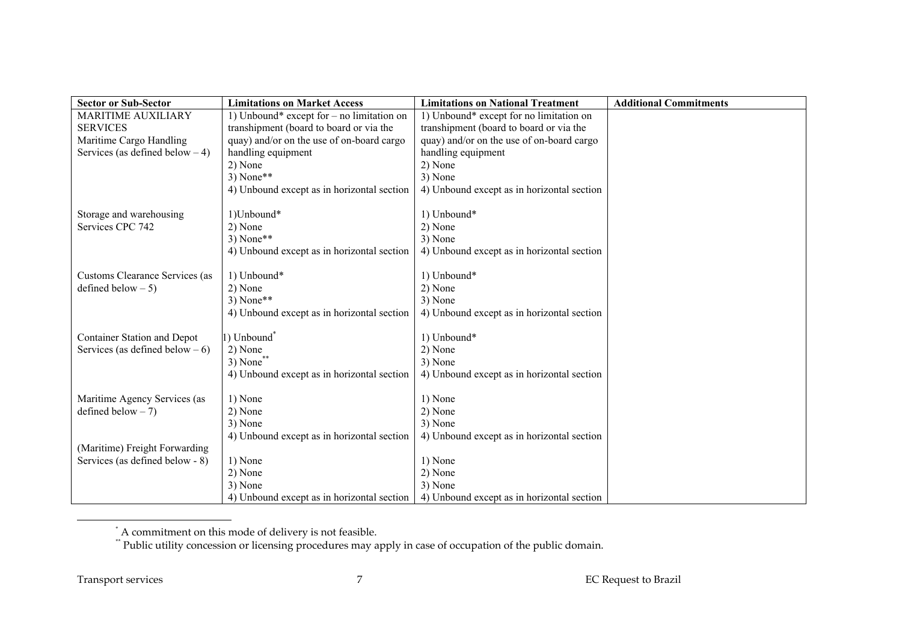| <b>Sector or Sub-Sector</b>        | <b>Limitations on Market Access</b>         | <b>Limitations on National Treatment</b>   | <b>Additional Commitments</b> |
|------------------------------------|---------------------------------------------|--------------------------------------------|-------------------------------|
| MARITIME AUXILIARY                 | 1) Unbound* except for $-$ no limitation on | 1) Unbound* except for no limitation on    |                               |
| <b>SERVICES</b>                    | transhipment (board to board or via the     | transhipment (board to board or via the    |                               |
| Maritime Cargo Handling            | quay) and/or on the use of on-board cargo   | quay) and/or on the use of on-board cargo  |                               |
| Services (as defined below $-4$ )  | handling equipment                          | handling equipment                         |                               |
|                                    | 2) None                                     | 2) None                                    |                               |
|                                    | $3) None**$                                 | 3) None                                    |                               |
|                                    | 4) Unbound except as in horizontal section  | 4) Unbound except as in horizontal section |                               |
|                                    |                                             |                                            |                               |
| Storage and warehousing            | 1)Unbound*                                  | 1) Unbound*                                |                               |
| Services CPC 742                   | 2) None                                     | 2) None                                    |                               |
|                                    | $3) None**$                                 | 3) None                                    |                               |
|                                    | 4) Unbound except as in horizontal section  | 4) Unbound except as in horizontal section |                               |
|                                    |                                             |                                            |                               |
| Customs Clearance Services (as     | 1) Unbound*                                 | 1) Unbound*                                |                               |
| defined below $-5$ )               | 2) None<br>$3) None**$                      | 2) None                                    |                               |
|                                    |                                             | 3) None                                    |                               |
|                                    | 4) Unbound except as in horizontal section  | 4) Unbound except as in horizontal section |                               |
| <b>Container Station and Depot</b> | 1) Unbound <sup>*</sup>                     | 1) Unbound*                                |                               |
| Services (as defined below $-6$ )  | 2) None                                     | 2) None                                    |                               |
|                                    | $3)$ None**                                 | 3) None                                    |                               |
|                                    | 4) Unbound except as in horizontal section  | 4) Unbound except as in horizontal section |                               |
|                                    |                                             |                                            |                               |
| Maritime Agency Services (as       | 1) None                                     | 1) None                                    |                               |
| defined below $-7$ )               | 2) None                                     | 2) None                                    |                               |
|                                    | 3) None                                     | 3) None                                    |                               |
|                                    | 4) Unbound except as in horizontal section  | 4) Unbound except as in horizontal section |                               |
| (Maritime) Freight Forwarding      |                                             |                                            |                               |
| Services (as defined below - 8)    | 1) None                                     | 1) None                                    |                               |
|                                    | 2) None                                     | 2) None                                    |                               |
|                                    | 3) None                                     | 3) None                                    |                               |
|                                    | 4) Unbound except as in horizontal section  | 4) Unbound except as in horizontal section |                               |

<sup>\*</sup> A commitment on this mode of delivery is not feasible.

 $\overline{a}$ 

<sup>\*\*</sup> Public utility concession or licensing procedures may apply in case of occupation of the public domain.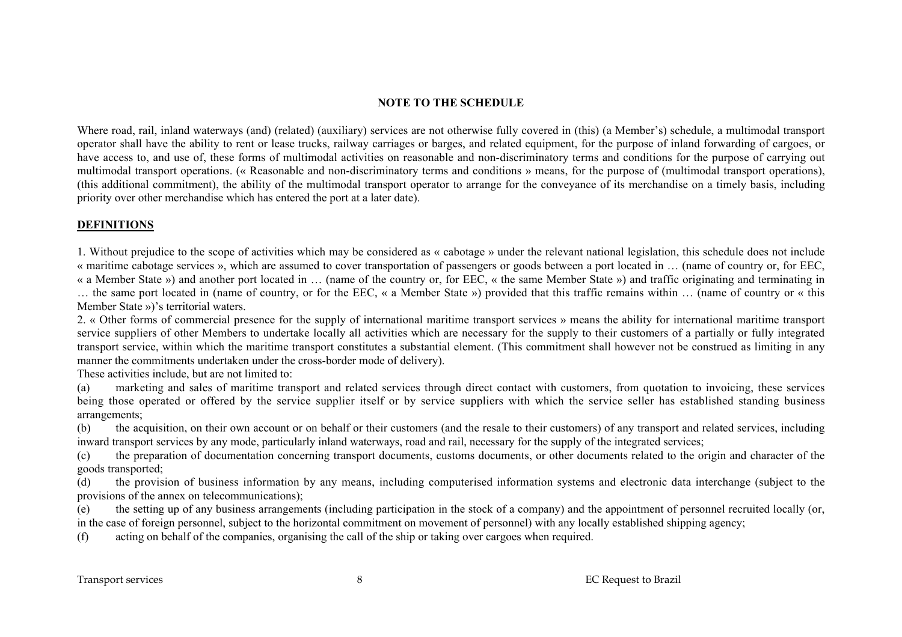#### **NOTE TO THE SCHEDULE**

Where road, rail, inland waterways (and) (related) (auxiliary) services are not otherwise fully covered in (this) (a Member's) schedule, a multimodal transport operator shall have the ability to rent or lease trucks, railway carriages or barges, and related equipment, for the purpose of inland forwarding of cargoes, or have access to, and use of, these forms of multimodal activities on reasonable and non-discriminatory terms and conditions for the purpose of carrying out multimodal transport operations. (« Reasonable and non-discriminatory terms and conditions » means, for the purpose of (multimodal transport operations), (this additional commitment), the ability of the multimodal transport operator to arrange for the conveyance of its merchandise on a timely basis, including priority over other merchandise which has entered the port at a later date).

#### **DEFINITIONS**

1. Without prejudice to the scope of activities which may be considered as « cabotage » under the relevant national legislation, this schedule does not include « maritime cabotage services », which are assumed to cover transportation of passengers or goods between a port located in … (name of country or, for EEC, « a Member State ») and another port located in … (name of the country or, for EEC, « the same Member State ») and traffic originating and terminating in … the same port located in (name of country, or for the EEC, « a Member State ») provided that this traffic remains within … (name of country or « this Member State »)'s territorial waters.

2. « Other forms of commercial presence for the supply of international maritime transport services » means the ability for international maritime transport service suppliers of other Members to undertake locally all activities which are necessary for the supply to their customers of a partially or fully integrated transport service, within which the maritime transport constitutes a substantial element. (This commitment shall however not be construed as limiting in any manner the commitments undertaken under the cross-border mode of delivery).

These activities include, but are not limited to:

(a) marketing and sales of maritime transport and related services through direct contact with customers, from quotation to invoicing, these services being those operated or offered by the service supplier itself or by service suppliers with which the service seller has established standing business arrangements;

(b) the acquisition, on their own account or on behalf or their customers (and the resale to their customers) of any transport and related services, including inward transport services by any mode, particularly inland waterways, road and rail, necessary for the supply of the integrated services;

(c) the preparation of documentation concerning transport documents, customs documents, or other documents related to the origin and character of the goods transported;

(d) the provision of business information by any means, including computerised information systems and electronic data interchange (subject to the provisions of the annex on telecommunications);

(e) the setting up of any business arrangements (including participation in the stock of a company) and the appointment of personnel recruited locally (or, in the case of foreign personnel, subject to the horizontal commitment on movement of personnel) with any locally established shipping agency;

(f) acting on behalf of the companies, organising the call of the ship or taking over cargoes when required.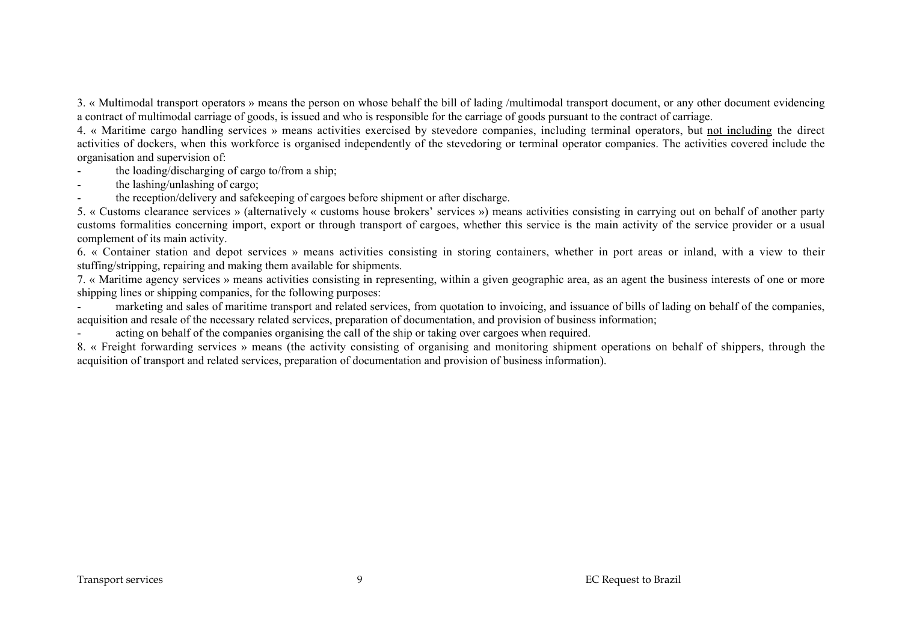3. « Multimodal transport operators » means the person on whose behalf the bill of lading /multimodal transport document, or any other document evidencing a contract of multimodal carriage of goods, is issued and who is responsible for the carriage of goods pursuant to the contract of carriage.

4. « Maritime cargo handling services » means activities exercised by stevedore companies, including terminal operators, but not including the direct activities of dockers, when this workforce is organised independently of the stevedoring or terminal operator companies. The activities covered include the organisation and supervision of:

- the loading/discharging of cargo to/from a ship;
- the lashing/unlashing of cargo;
- the reception/delivery and safekeeping of cargoes before shipment or after discharge.

5. « Customs clearance services » (alternatively « customs house brokers' services ») means activities consisting in carrying out on behalf of another party customs formalities concerning import, export or through transport of cargoes, whether this service is the main activity of the service provider or a usual complement of its main activity.

6. « Container station and depot services » means activities consisting in storing containers, whether in port areas or inland, with a view to their stuffing/stripping, repairing and making them available for shipments.

7. « Maritime agency services » means activities consisting in representing, within a given geographic area, as an agent the business interests of one or more shipping lines or shipping companies, for the following purposes:

marketing and sales of maritime transport and related services, from quotation to invoicing, and issuance of bills of lading on behalf of the companies, acquisition and resale of the necessary related services, preparation of documentation, and provision of business information;

acting on behalf of the companies organising the call of the ship or taking over cargoes when required.

8. « Freight forwarding services » means (the activity consisting of organising and monitoring shipment operations on behalf of shippers, through the acquisition of transport and related services, preparation of documentation and provision of business information).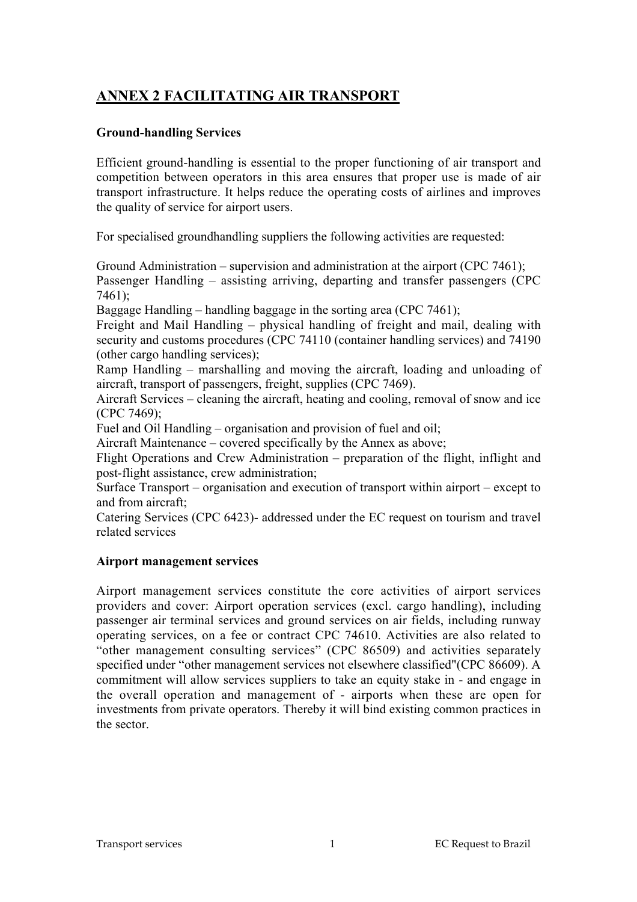# **ANNEX 2 FACILITATING AIR TRANSPORT**

## **Ground-handling Services**

Efficient ground-handling is essential to the proper functioning of air transport and competition between operators in this area ensures that proper use is made of air transport infrastructure. It helps reduce the operating costs of airlines and improves the quality of service for airport users.

For specialised groundhandling suppliers the following activities are requested:

Ground Administration – supervision and administration at the airport (CPC 7461); Passenger Handling – assisting arriving, departing and transfer passengers (CPC 7461);

Baggage Handling – handling baggage in the sorting area (CPC 7461);

Freight and Mail Handling – physical handling of freight and mail, dealing with security and customs procedures (CPC 74110 (container handling services) and 74190 (other cargo handling services);

Ramp Handling – marshalling and moving the aircraft, loading and unloading of aircraft, transport of passengers, freight, supplies (CPC 7469).

Aircraft Services – cleaning the aircraft, heating and cooling, removal of snow and ice (CPC 7469);

Fuel and Oil Handling – organisation and provision of fuel and oil;

Aircraft Maintenance – covered specifically by the Annex as above;

Flight Operations and Crew Administration – preparation of the flight, inflight and post-flight assistance, crew administration;

Surface Transport – organisation and execution of transport within airport – except to and from aircraft;

Catering Services (CPC 6423)- addressed under the EC request on tourism and travel related services

### **Airport management services**

Airport management services constitute the core activities of airport services providers and cover: Airport operation services (excl. cargo handling), including passenger air terminal services and ground services on air fields, including runway operating services, on a fee or contract CPC 74610. Activities are also related to "other management consulting services" (CPC 86509) and activities separately specified under "other management services not elsewhere classified"(CPC 86609). A commitment will allow services suppliers to take an equity stake in - and engage in the overall operation and management of - airports when these are open for investments from private operators. Thereby it will bind existing common practices in the sector.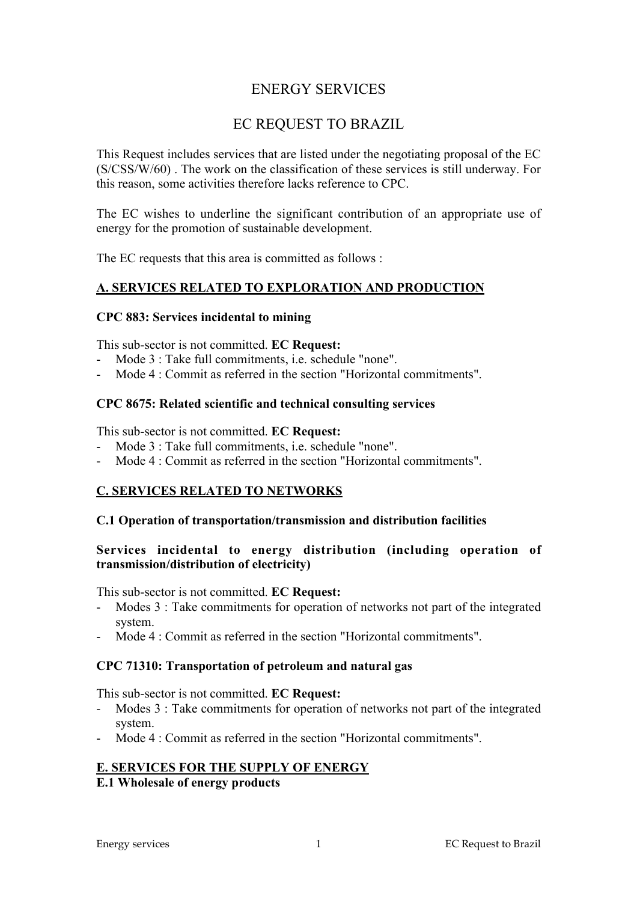## ENERGY SERVICES

## EC REQUEST TO BRAZIL

This Request includes services that are listed under the negotiating proposal of the EC (S/CSS/W/60) . The work on the classification of these services is still underway. For this reason, some activities therefore lacks reference to CPC.

The EC wishes to underline the significant contribution of an appropriate use of energy for the promotion of sustainable development.

The EC requests that this area is committed as follows :

### **A. SERVICES RELATED TO EXPLORATION AND PRODUCTION**

#### **CPC 883: Services incidental to mining**

This sub-sector is not committed. **EC Request:**

- Mode 3 : Take full commitments, i.e. schedule "none".
- Mode 4 : Commit as referred in the section "Horizontal commitments".

#### **CPC 8675: Related scientific and technical consulting services**

This sub-sector is not committed. **EC Request:**

- Mode 3 : Take full commitments, i.e. schedule "none".
- Mode 4 : Commit as referred in the section "Horizontal commitments".

### **C. SERVICES RELATED TO NETWORKS**

#### **C.1 Operation of transportation/transmission and distribution facilities**

#### **Services incidental to energy distribution (including operation of transmission/distribution of electricity)**

This sub-sector is not committed. **EC Request:**

- Modes 3 : Take commitments for operation of networks not part of the integrated system.
- Mode 4 : Commit as referred in the section "Horizontal commitments".

#### **CPC 71310: Transportation of petroleum and natural gas**

This sub-sector is not committed. **EC Request:**

- Modes 3 : Take commitments for operation of networks not part of the integrated system.
- Mode 4 : Commit as referred in the section "Horizontal commitments".

#### **E. SERVICES FOR THE SUPPLY OF ENERGY**

**E.1 Wholesale of energy products**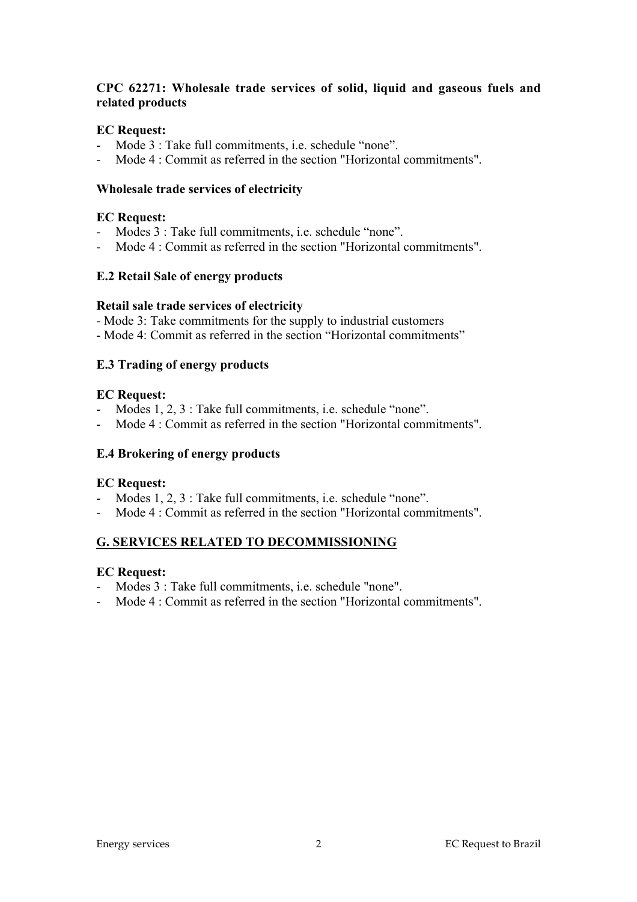## **CPC 62271: Wholesale trade services of solid, liquid and gaseous fuels and related products**

### **EC Request:**

- Mode 3 : Take full commitments, i.e. schedule "none".
- Mode 4 : Commit as referred in the section "Horizontal commitments".

#### **Wholesale trade services of electricity**

#### **EC Request:**

- Modes 3 : Take full commitments, i.e. schedule "none".
- Mode 4 : Commit as referred in the section "Horizontal commitments".

### **E.2 Retail Sale of energy products**

#### **Retail sale trade services of electricity**

- Mode 3: Take commitments for the supply to industrial customers

- Mode 4: Commit as referred in the section "Horizontal commitments"

### **E.3 Trading of energy products**

#### **EC Request:**

- Modes 1, 2, 3 : Take full commitments, i.e. schedule "none".
- Mode 4 : Commit as referred in the section "Horizontal commitments".

#### **E.4 Brokering of energy products**

### **EC Request:**

- Modes 1, 2, 3 : Take full commitments, i.e. schedule "none".
- Mode 4 : Commit as referred in the section "Horizontal commitments".

### **G. SERVICES RELATED TO DECOMMISSIONING**

### **EC Request:**

- Modes 3 : Take full commitments, i.e. schedule "none".
- Mode 4 : Commit as referred in the section "Horizontal commitments".